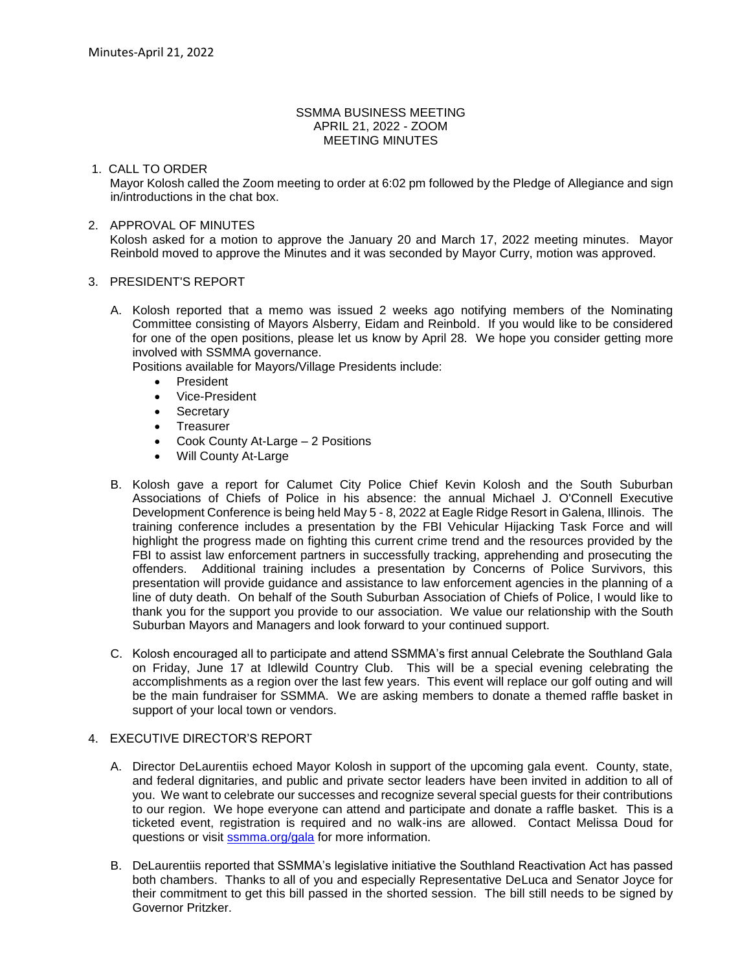## SSMMA BUSINESS MEETING APRIL 21, 2022 - ZOOM MEETING MINUTES

# 1. CALL TO ORDER

Mayor Kolosh called the Zoom meeting to order at 6:02 pm followed by the Pledge of Allegiance and sign in/introductions in the chat box.

# 2. APPROVAL OF MINUTES

Kolosh asked for a motion to approve the January 20 and March 17, 2022 meeting minutes. Mayor Reinbold moved to approve the Minutes and it was seconded by Mayor Curry, motion was approved.

#### 3. PRESIDENT'S REPORT

A. Kolosh reported that a memo was issued 2 weeks ago notifying members of the Nominating Committee consisting of Mayors Alsberry, Eidam and Reinbold. If you would like to be considered for one of the open positions, please let us know by April 28. We hope you consider getting more involved with SSMMA governance.

Positions available for Mayors/Village Presidents include:

- President
- Vice-President
- Secretary
- Treasurer
- Cook County At-Large 2 Positions
- Will County At-Large
- B. Kolosh gave a report for Calumet City Police Chief Kevin Kolosh and the South Suburban Associations of Chiefs of Police in his absence: the annual Michael J. O'Connell Executive Development Conference is being held May 5 - 8, 2022 at Eagle Ridge Resort in Galena, Illinois. The training conference includes a presentation by the FBI Vehicular Hijacking Task Force and will highlight the progress made on fighting this current crime trend and the resources provided by the FBI to assist law enforcement partners in successfully tracking, apprehending and prosecuting the offenders. Additional training includes a presentation by Concerns of Police Survivors, this presentation will provide guidance and assistance to law enforcement agencies in the planning of a line of duty death. On behalf of the South Suburban Association of Chiefs of Police, I would like to thank you for the support you provide to our association. We value our relationship with the South Suburban Mayors and Managers and look forward to your continued support.
- C. Kolosh encouraged all to participate and attend SSMMA's first annual Celebrate the Southland Gala on Friday, June 17 at Idlewild Country Club. This will be a special evening celebrating the accomplishments as a region over the last few years. This event will replace our golf outing and will be the main fundraiser for SSMMA. We are asking members to donate a themed raffle basket in support of your local town or vendors.

#### 4. EXECUTIVE DIRECTOR'S REPORT

- A. Director DeLaurentiis echoed Mayor Kolosh in support of the upcoming gala event. County, state, and federal dignitaries, and public and private sector leaders have been invited in addition to all of you. We want to celebrate our successes and recognize several special guests for their contributions to our region. We hope everyone can attend and participate and donate a raffle basket. This is a ticketed event, registration is required and no walk-ins are allowed. Contact Melissa Doud for questions or visit **ssmma.org/gala** for more information.
- B. DeLaurentiis reported that SSMMA's legislative initiative the Southland Reactivation Act has passed both chambers. Thanks to all of you and especially Representative DeLuca and Senator Joyce for their commitment to get this bill passed in the shorted session. The bill still needs to be signed by Governor Pritzker.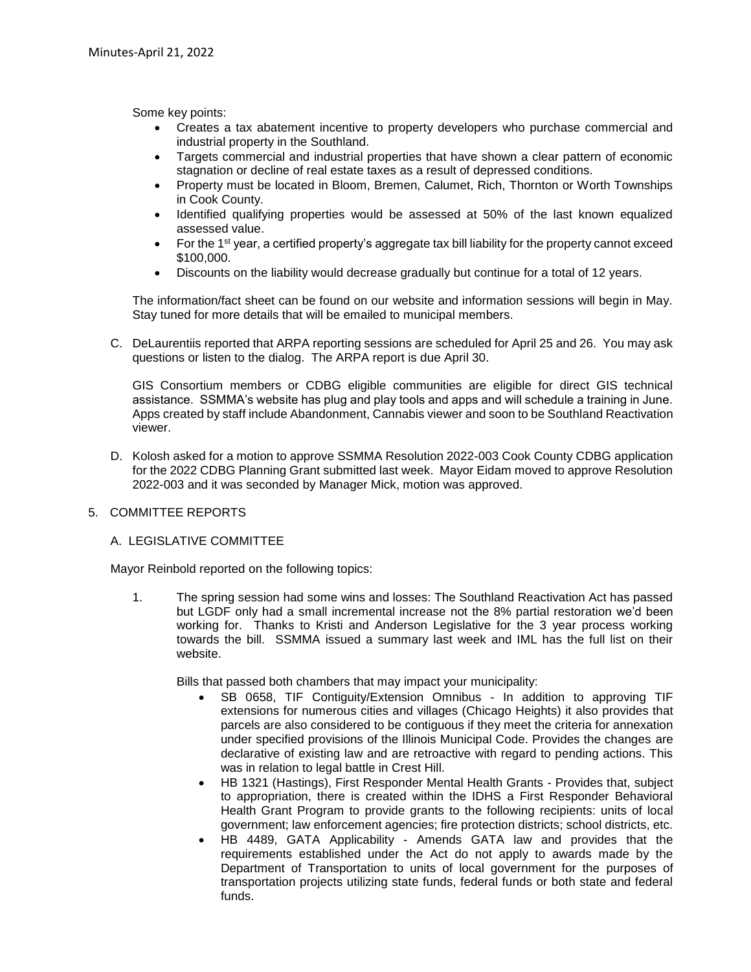Some key points:

- Creates a tax abatement incentive to property developers who purchase commercial and industrial property in the Southland.
- Targets commercial and industrial properties that have shown a clear pattern of economic stagnation or decline of real estate taxes as a result of depressed conditions.
- Property must be located in Bloom, Bremen, Calumet, Rich, Thornton or Worth Townships in Cook County.
- Identified qualifying properties would be assessed at 50% of the last known equalized assessed value.
- For the 1<sup>st</sup> year, a certified property's aggregate tax bill liability for the property cannot exceed \$100,000.
- Discounts on the liability would decrease gradually but continue for a total of 12 years.

The information/fact sheet can be found on our website and information sessions will begin in May. Stay tuned for more details that will be emailed to municipal members.

C. DeLaurentiis reported that ARPA reporting sessions are scheduled for April 25 and 26. You may ask questions or listen to the dialog. The ARPA report is due April 30.

GIS Consortium members or CDBG eligible communities are eligible for direct GIS technical assistance. SSMMA's website has plug and play tools and apps and will schedule a training in June. Apps created by staff include Abandonment, Cannabis viewer and soon to be Southland Reactivation viewer.

D. Kolosh asked for a motion to approve SSMMA Resolution 2022-003 Cook County CDBG application for the 2022 CDBG Planning Grant submitted last week. Mayor Eidam moved to approve Resolution 2022-003 and it was seconded by Manager Mick, motion was approved.

# 5. COMMITTEE REPORTS

# A. LEGISLATIVE COMMITTEE

Mayor Reinbold reported on the following topics:

1. The spring session had some wins and losses: The Southland Reactivation Act has passed but LGDF only had a small incremental increase not the 8% partial restoration we'd been working for. Thanks to Kristi and Anderson Legislative for the 3 year process working towards the bill. SSMMA issued a summary last week and IML has the full list on their website.

Bills that passed both chambers that may impact your municipality:

- SB 0658, TIF Contiguity/Extension Omnibus In addition to approving TIF extensions for numerous cities and villages (Chicago Heights) it also provides that parcels are also considered to be contiguous if they meet the criteria for annexation under specified provisions of the Illinois Municipal Code. Provides the changes are declarative of existing law and are retroactive with regard to pending actions. This was in relation to legal battle in Crest Hill.
- HB 1321 (Hastings), First Responder Mental Health Grants Provides that, subject to appropriation, there is created within the IDHS a First Responder Behavioral Health Grant Program to provide grants to the following recipients: units of local government; law enforcement agencies; fire protection districts; school districts, etc.
- HB 4489, GATA Applicability Amends GATA law and provides that the requirements established under the Act do not apply to awards made by the Department of Transportation to units of local government for the purposes of transportation projects utilizing state funds, federal funds or both state and federal funds.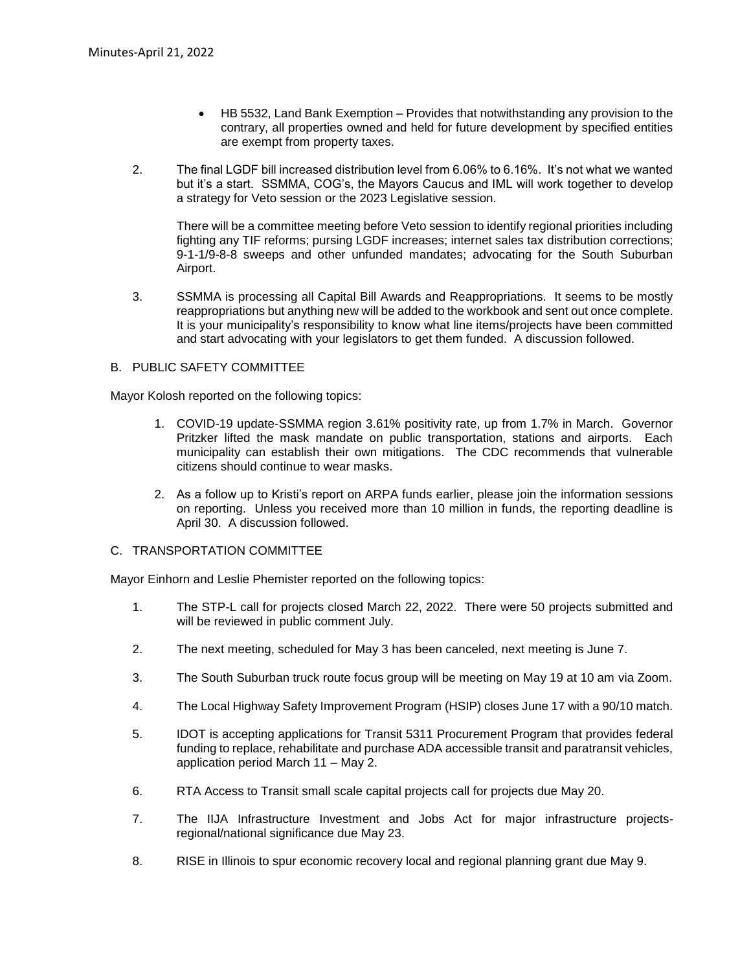- HB 5532, Land Bank Exemption Provides that notwithstanding any provision to the contrary, all properties owned and held for future development by specified entities are exempt from property taxes.
- 2. The final LGDF bill increased distribution level from 6.06% to 6.16%. It's not what we wanted but it's a start. SSMMA, COG's, the Mayors Caucus and IML will work together to develop a strategy for Veto session or the 2023 Legislative session.

There will be a committee meeting before Veto session to identify regional priorities including fighting any TIF reforms; pursing LGDF increases; internet sales tax distribution corrections; 9-1-1/9-8-8 sweeps and other unfunded mandates; advocating for the South Suburban Airport.

3. SSMMA is processing all Capital Bill Awards and Reappropriations. It seems to be mostly reappropriations but anything new will be added to the workbook and sent out once complete. It is your municipality's responsibility to know what line items/projects have been committed and start advocating with your legislators to get them funded. A discussion followed.

# B. PUBLIC SAFETY COMMITTEE

Mayor Kolosh reported on the following topics:

- 1. COVID-19 update-SSMMA region 3.61% positivity rate, up from 1.7% in March. Governor Pritzker lifted the mask mandate on public transportation, stations and airports. Each municipality can establish their own mitigations. The CDC recommends that vulnerable citizens should continue to wear masks.
- 2. As a follow up to Kristi's report on ARPA funds earlier, please join the information sessions on reporting. Unless you received more than 10 million in funds, the reporting deadline is April 30. A discussion followed.

#### C. TRANSPORTATION COMMITTEE

Mayor Einhorn and Leslie Phemister reported on the following topics:

- 1. The STP-L call for projects closed March 22, 2022. There were 50 projects submitted and will be reviewed in public comment July.
- 2. The next meeting, scheduled for May 3 has been canceled, next meeting is June 7.
- 3. The South Suburban truck route focus group will be meeting on May 19 at 10 am via Zoom.
- 4. The Local Highway Safety Improvement Program (HSIP) closes June 17 with a 90/10 match.
- 5. IDOT is accepting applications for Transit 5311 Procurement Program that provides federal funding to replace, rehabilitate and purchase ADA accessible transit and paratransit vehicles, application period March 11 – May 2.
- 6. RTA Access to Transit small scale capital projects call for projects due May 20.
- 7. The IIJA Infrastructure Investment and Jobs Act for major infrastructure projectsregional/national significance due May 23.
- 8. RISE in Illinois to spur economic recovery local and regional planning grant due May 9.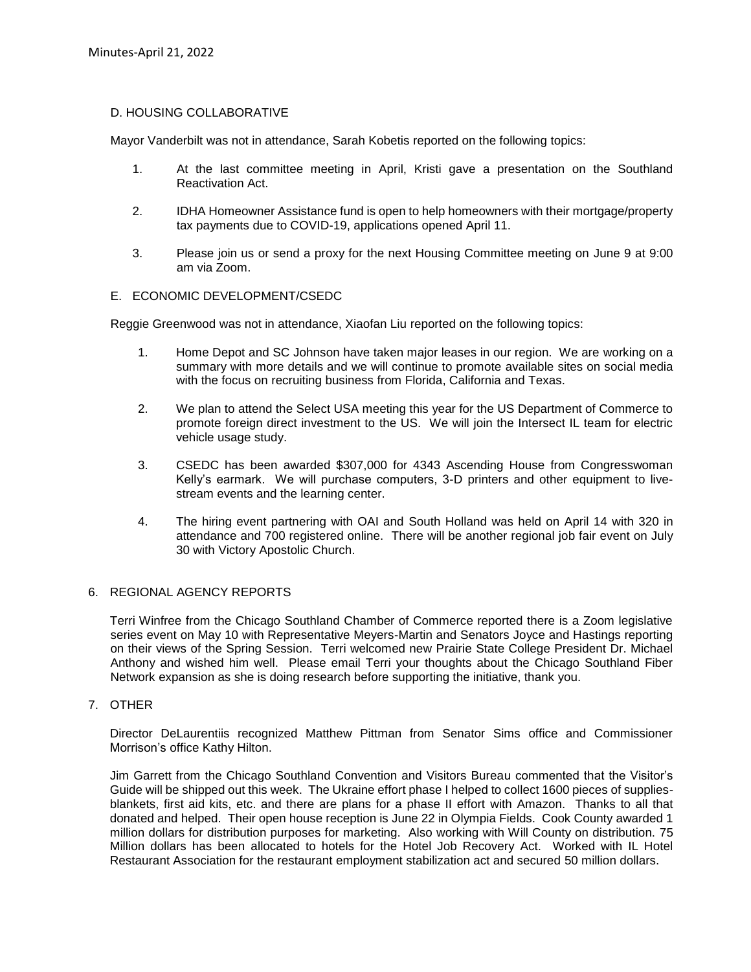# D. HOUSING COLLABORATIVE

Mayor Vanderbilt was not in attendance, Sarah Kobetis reported on the following topics:

- 1. At the last committee meeting in April, Kristi gave a presentation on the Southland Reactivation Act.
- 2. IDHA Homeowner Assistance fund is open to help homeowners with their mortgage/property tax payments due to COVID-19, applications opened April 11.
- 3. Please join us or send a proxy for the next Housing Committee meeting on June 9 at 9:00 am via Zoom.

# E. ECONOMIC DEVELOPMENT/CSEDC

Reggie Greenwood was not in attendance, Xiaofan Liu reported on the following topics:

- 1. Home Depot and SC Johnson have taken major leases in our region. We are working on a summary with more details and we will continue to promote available sites on social media with the focus on recruiting business from Florida, California and Texas.
- 2. We plan to attend the Select USA meeting this year for the US Department of Commerce to promote foreign direct investment to the US. We will join the Intersect IL team for electric vehicle usage study.
- 3. CSEDC has been awarded \$307,000 for 4343 Ascending House from Congresswoman Kelly's earmark. We will purchase computers, 3-D printers and other equipment to livestream events and the learning center.
- 4. The hiring event partnering with OAI and South Holland was held on April 14 with 320 in attendance and 700 registered online. There will be another regional job fair event on July 30 with Victory Apostolic Church.

#### 6. REGIONAL AGENCY REPORTS

Terri Winfree from the Chicago Southland Chamber of Commerce reported there is a Zoom legislative series event on May 10 with Representative Meyers-Martin and Senators Joyce and Hastings reporting on their views of the Spring Session. Terri welcomed new Prairie State College President Dr. Michael Anthony and wished him well. Please email Terri your thoughts about the Chicago Southland Fiber Network expansion as she is doing research before supporting the initiative, thank you.

# 7. OTHER

Director DeLaurentiis recognized Matthew Pittman from Senator Sims office and Commissioner Morrison's office Kathy Hilton.

Jim Garrett from the Chicago Southland Convention and Visitors Bureau commented that the Visitor's Guide will be shipped out this week. The Ukraine effort phase I helped to collect 1600 pieces of suppliesblankets, first aid kits, etc. and there are plans for a phase II effort with Amazon. Thanks to all that donated and helped. Their open house reception is June 22 in Olympia Fields. Cook County awarded 1 million dollars for distribution purposes for marketing. Also working with Will County on distribution. 75 Million dollars has been allocated to hotels for the Hotel Job Recovery Act. Worked with IL Hotel Restaurant Association for the restaurant employment stabilization act and secured 50 million dollars.